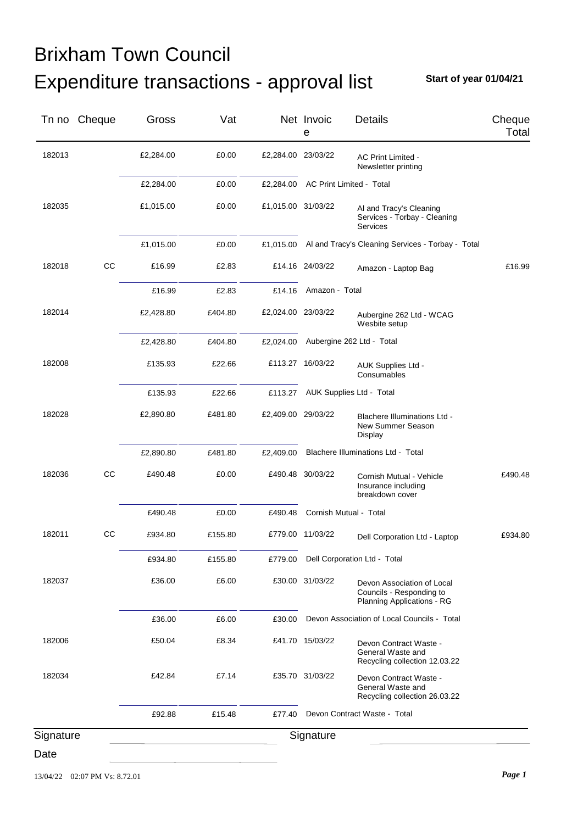## Expenditure transactions - approval list Brixham Town Council

**Start of year 01/04/21**

|           | Tn no Cheque | Gross     | Vat     |                    | Net Invoic<br>е        | <b>Details</b>                                                                       | Cheque<br>Total |
|-----------|--------------|-----------|---------|--------------------|------------------------|--------------------------------------------------------------------------------------|-----------------|
| 182013    |              | £2,284.00 | £0.00   | £2,284.00 23/03/22 |                        | AC Print Limited -<br>Newsletter printing                                            |                 |
|           |              | £2,284.00 | £0.00   | £2,284.00          |                        | AC Print Limited - Total                                                             |                 |
| 182035    |              | £1,015.00 | £0.00   | £1,015.00 31/03/22 |                        | Al and Tracy's Cleaning<br>Services - Torbay - Cleaning<br>Services                  |                 |
|           |              | £1,015.00 | £0.00   | £1,015.00          |                        | Al and Tracy's Cleaning Services - Torbay - Total                                    |                 |
| 182018    | CC           | £16.99    | £2.83   |                    | £14.16 24/03/22        | Amazon - Laptop Bag                                                                  | £16.99          |
|           |              | £16.99    | £2.83   | £14.16             | Amazon - Total         |                                                                                      |                 |
| 182014    |              | £2,428.80 | £404.80 | £2,024.00 23/03/22 |                        | Aubergine 262 Ltd - WCAG<br>Wesbite setup                                            |                 |
|           |              | £2,428.80 | £404.80 | £2,024.00          |                        | Aubergine 262 Ltd - Total                                                            |                 |
| 182008    |              | £135.93   | £22.66  |                    | £113.27 16/03/22       | AUK Supplies Ltd -<br>Consumables                                                    |                 |
|           |              | £135.93   | £22.66  | £113.27            |                        | AUK Supplies Ltd - Total                                                             |                 |
| 182028    |              | £2,890.80 | £481.80 | £2,409.00 29/03/22 |                        | <b>Blachere Illuminations Ltd -</b><br>New Summer Season<br>Display                  |                 |
|           |              | £2,890.80 | £481.80 | £2,409.00          |                        | Blachere Illuminations Ltd - Total                                                   |                 |
| 182036    | cc           | £490.48   | £0.00   |                    | £490.48 30/03/22       | Cornish Mutual - Vehicle<br>Insurance including<br>breakdown cover                   | £490.48         |
|           |              | £490.48   | £0.00   | £490.48            | Cornish Mutual - Total |                                                                                      |                 |
| 182011    | CС           | £934.80   | £155.80 |                    | £779.00 11/03/22       | Dell Corporation Ltd - Laptop                                                        | £934.80         |
|           |              | £934.80   | £155.80 | £779.00            |                        | Dell Corporation Ltd - Total                                                         |                 |
| 182037    |              | £36.00    | £6.00   |                    | £30.00 31/03/22        | Devon Association of Local<br>Councils - Responding to<br>Planning Applications - RG |                 |
|           |              | £36.00    | £6.00   | £30.00             |                        | Devon Association of Local Councils - Total                                          |                 |
| 182006    |              | £50.04    | £8.34   |                    | £41.70 15/03/22        | Devon Contract Waste -<br>General Waste and<br>Recycling collection 12.03.22         |                 |
| 182034    |              | £42.84    | £7.14   |                    | £35.70 31/03/22        | Devon Contract Waste -<br>General Waste and<br>Recycling collection 26.03.22         |                 |
|           |              | £92.88    | £15.48  | £77.40             |                        | Devon Contract Waste - Total                                                         |                 |
| Signature |              |           |         |                    | Signature              |                                                                                      |                 |
| Date      |              |           |         |                    |                        |                                                                                      |                 |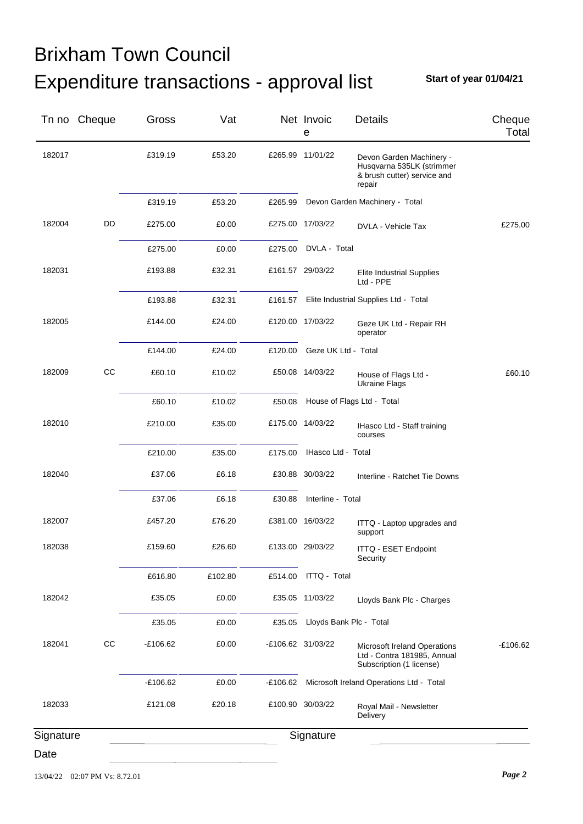## Expenditure transactions - approval list Brixham Town Council

**Start of year 01/04/21**

|           | Tn no Cheque | Gross      | Vat     |         | Net Invoic<br>е     | <b>Details</b>                                                                                 | Cheque<br>Total |
|-----------|--------------|------------|---------|---------|---------------------|------------------------------------------------------------------------------------------------|-----------------|
| 182017    |              | £319.19    | £53.20  |         | £265.99 11/01/22    | Devon Garden Machinery -<br>Husqvarna 535LK (strimmer<br>& brush cutter) service and<br>repair |                 |
|           |              | £319.19    | £53.20  | £265.99 |                     | Devon Garden Machinery - Total                                                                 |                 |
| 182004    | DD           | £275.00    | £0.00   |         | £275.00 17/03/22    | DVLA - Vehicle Tax                                                                             | £275.00         |
|           |              | £275.00    | £0.00   | £275.00 | DVLA - Total        |                                                                                                |                 |
| 182031    |              | £193.88    | £32.31  |         | £161.57 29/03/22    | <b>Elite Industrial Supplies</b><br>Ltd - PPE                                                  |                 |
|           |              | £193.88    | £32.31  | £161.57 |                     | Elite Industrial Supplies Ltd - Total                                                          |                 |
| 182005    |              | £144.00    | £24.00  |         | £120.00 17/03/22    | Geze UK Ltd - Repair RH<br>operator                                                            |                 |
|           |              | £144.00    | £24.00  | £120.00 | Geze UK Ltd - Total |                                                                                                |                 |
| 182009    | CC           | £60.10     | £10.02  |         | £50.08 14/03/22     | House of Flags Ltd -<br><b>Ukraine Flags</b>                                                   | £60.10          |
|           |              | £60.10     | £10.02  | £50.08  |                     | House of Flags Ltd - Total                                                                     |                 |
| 182010    |              | £210.00    | £35.00  |         | £175.00 14/03/22    | IHasco Ltd - Staff training<br>courses                                                         |                 |
|           |              | £210.00    | £35.00  | £175.00 | IHasco Ltd - Total  |                                                                                                |                 |
| 182040    |              | £37.06     | £6.18   |         | £30.88 30/03/22     | Interline - Ratchet Tie Downs                                                                  |                 |
|           |              | £37.06     | £6.18   | £30.88  | Interline - Total   |                                                                                                |                 |
| 182007    |              | £457.20    | £76.20  |         | £381.00 16/03/22    | ITTQ - Laptop upgrades and<br>support                                                          |                 |
| 182038    |              | £159.60    | £26.60  |         | £133.00 29/03/22    | ITTQ - ESET Endpoint<br>Security                                                               |                 |
|           |              | £616.80    | £102.80 | £514.00 | ITTQ - Total        |                                                                                                |                 |
| 182042    |              | £35.05     | £0.00   |         | £35.05 11/03/22     | Lloyds Bank Plc - Charges                                                                      |                 |
|           |              | £35.05     | £0.00   | £35.05  |                     | Lloyds Bank Plc - Total                                                                        |                 |
| 182041    | CC           | $-£106.62$ | £0.00   |         | -£106.62 31/03/22   | Microsoft Ireland Operations<br>Ltd - Contra 181985, Annual<br>Subscription (1 license)        | £106.62         |
|           |              | $-£106.62$ | £0.00   | £106.62 |                     | Microsoft Ireland Operations Ltd - Total                                                       |                 |
| 182033    |              | £121.08    | £20.18  |         | £100.90 30/03/22    | Royal Mail - Newsletter<br>Delivery                                                            |                 |
| Signature |              |            |         |         | Signature           |                                                                                                |                 |
| Date      |              |            |         |         |                     |                                                                                                |                 |